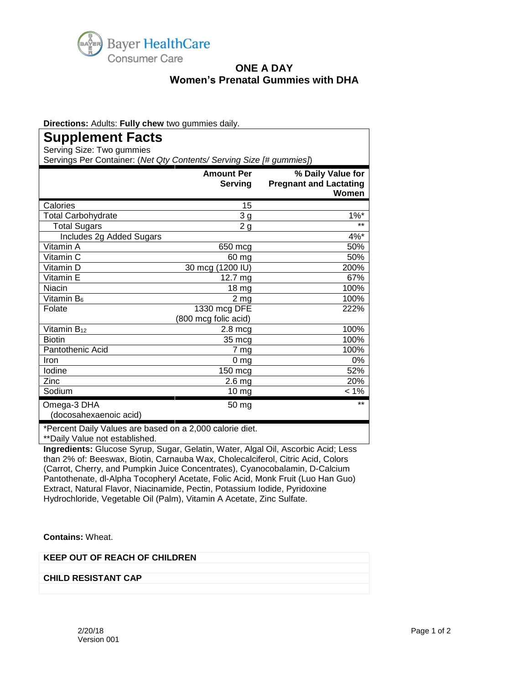

## **ONE A DAY Women's Prenatal Gummies with DHA**

**Directions:** Adults: **Fully chew** two gummies daily.

## **Supplement Facts**

Serving Size: Two gummies

Servings Per Container: (*Net Qty Contents/ Serving Size [# gummies]*)

|                          | <b>Amount Per</b><br><b>Serving</b> | % Daily Value for<br><b>Pregnant and Lactating</b><br>Women |
|--------------------------|-------------------------------------|-------------------------------------------------------------|
| Calories                 | 15                                  |                                                             |
| Total Carbohydrate       | 3 <sub>g</sub>                      | $1\%$ *                                                     |
| <b>Total Sugars</b>      | 2g                                  | $***$                                                       |
| Includes 2g Added Sugars |                                     | 4%*                                                         |
| Vitamin A                | 650 mcg                             | 50%                                                         |
| Vitamin C                | 60 mg                               | 50%                                                         |
| Vitamin D                | 30 mcg (1200 IU)                    | 200%                                                        |
| Vitamin E                | 12.7 mg                             | 67%                                                         |
| Niacin                   | 18 mg                               | 100%                                                        |
| Vitamin B <sub>6</sub>   | 2 <sub>mg</sub>                     | 100%                                                        |
| Folate                   | 1330 mcg DFE                        | 222%                                                        |
|                          | (800 mcg folic acid)                |                                                             |
| Vitamin B <sub>12</sub>  | $2.8$ mcg                           | 100%                                                        |
| <b>Biotin</b>            | 35 mcg                              | 100%                                                        |
| Pantothenic Acid         | 7 mg                                | 100%                                                        |
| Iron                     | 0 <sub>mg</sub>                     | 0%                                                          |
| lodine                   | 150 mcg                             | 52%                                                         |
| Zinc                     | 2.6 <sub>mg</sub>                   | 20%                                                         |
| Sodium                   | 10 mg                               | $< 1\%$                                                     |
| Omega-3 DHA              | 50 mg                               | $***$                                                       |
| (docosahexaenoic acid)   |                                     |                                                             |

\*Percent Daily Values are based on a 2,000 calorie diet. \*\*Daily Value not established.

**Ingredients:** Glucose Syrup, Sugar, Gelatin, Water, Algal Oil, Ascorbic Acid; Less than 2% of: Beeswax, Biotin, Carnauba Wax, Cholecalciferol, Citric Acid, Colors (Carrot, Cherry, and Pumpkin Juice Concentrates), Cyanocobalamin, D-Calcium Pantothenate, dl-Alpha Tocopheryl Acetate, Folic Acid, Monk Fruit (Luo Han Guo) Extract, Natural Flavor, Niacinamide, Pectin, Potassium Iodide, Pyridoxine Hydrochloride, Vegetable Oil (Palm), Vitamin A Acetate, Zinc Sulfate.

**Contains:** Wheat.

**KEEP OUT OF REACH OF CHILDREN**

**CHILD RESISTANT CAP**